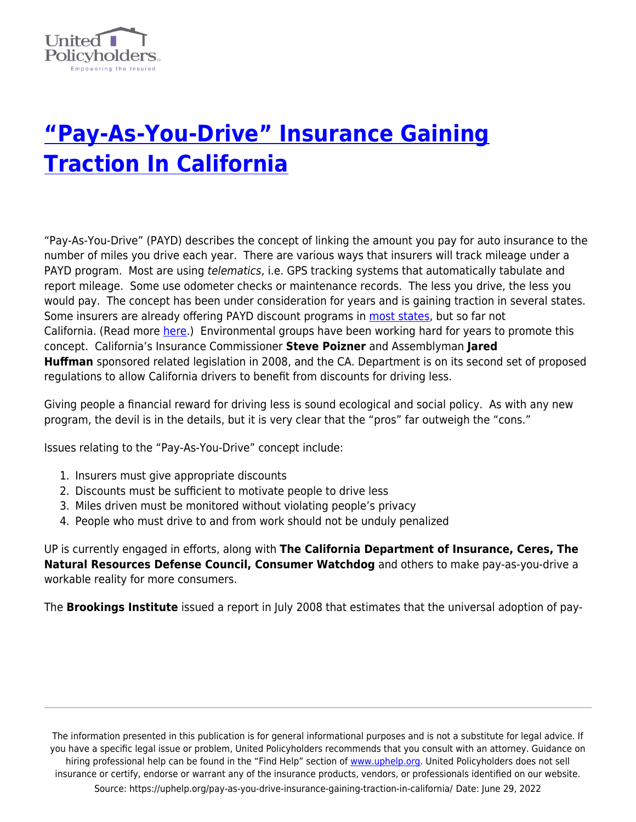

## **["Pay-As-You-Drive" Insurance Gaining](https://uphelp.org/pay-as-you-drive-insurance-gaining-traction-in-california/) [Traction In California](https://uphelp.org/pay-as-you-drive-insurance-gaining-traction-in-california/)**

"Pay-As-You-Drive" (PAYD) describes the concept of linking the amount you pay for auto insurance to the number of miles you drive each year. There are various ways that insurers will track mileage under a PAYD program. Most are using *telematics*, i.e. GPS tracking systems that automatically tabulate and report mileage. Some use odometer checks or maintenance records. The less you drive, the less you would pay. The concept has been under consideration for years and is gaining traction in several states. Some insurers are already offering PAYD discount programs in [most states,](http://www.edf.org/page.cfm?tagID=31651) but so far not California. (Read more [here.](http://www.insurancejournal.com/news/east/2008/09/15/93691.htm)) Environmental groups have been working hard for years to promote this concept. California's Insurance Commissioner **Steve Poizner** and Assemblyman **Jared Huffman** sponsored related legislation in 2008, and the CA. Department is on its second set of proposed regulations to allow California drivers to benefit from discounts for driving less.

Giving people a financial reward for driving less is sound ecological and social policy. As with any new program, the devil is in the details, but it is very clear that the "pros" far outweigh the "cons."

Issues relating to the "Pay-As-You-Drive" concept include:

- 1. Insurers must give appropriate discounts
- 2. Discounts must be sufficient to motivate people to drive less
- 3. Miles driven must be monitored without violating people's privacy
- 4. People who must drive to and from work should not be unduly penalized

UP is currently engaged in efforts, along with **The California Department of Insurance, Ceres, The Natural Resources Defense Council, Consumer Watchdog** and others to make pay-as-you-drive a workable reality for more consumers.

The **Brookings Institute** issued a report in July 2008 that estimates that the universal adoption of pay-

The information presented in this publication is for general informational purposes and is not a substitute for legal advice. If you have a specific legal issue or problem, United Policyholders recommends that you consult with an attorney. Guidance on hiring professional help can be found in the "Find Help" section of [www.uphelp.org.](http://www.uphelp.org/) United Policyholders does not sell insurance or certify, endorse or warrant any of the insurance products, vendors, or professionals identified on our website. Source: https://uphelp.org/pay-as-you-drive-insurance-gaining-traction-in-california/ Date: June 29, 2022